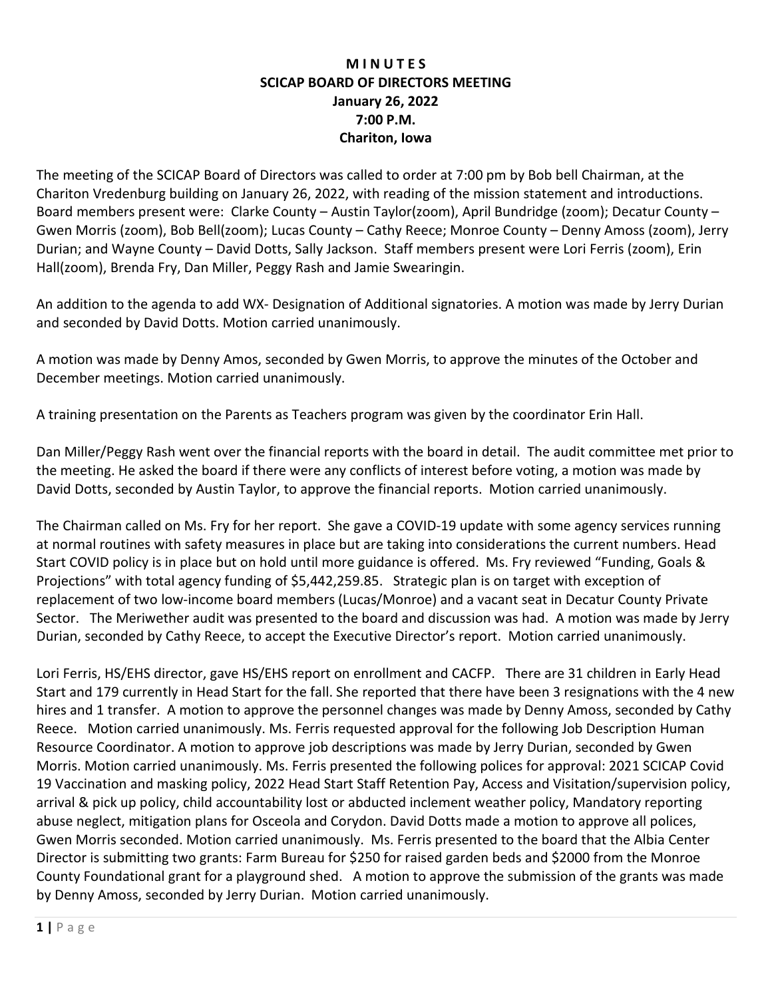## **M I N U T E S SCICAP BOARD OF DIRECTORS MEETING January 26, 2022 7:00 P.M. Chariton, Iowa**

The meeting of the SCICAP Board of Directors was called to order at 7:00 pm by Bob bell Chairman, at the Chariton Vredenburg building on January 26, 2022, with reading of the mission statement and introductions. Board members present were: Clarke County – Austin Taylor(zoom), April Bundridge (zoom); Decatur County – Gwen Morris (zoom), Bob Bell(zoom); Lucas County – Cathy Reece; Monroe County – Denny Amoss (zoom), Jerry Durian; and Wayne County – David Dotts, Sally Jackson. Staff members present were Lori Ferris (zoom), Erin Hall(zoom), Brenda Fry, Dan Miller, Peggy Rash and Jamie Swearingin.

An addition to the agenda to add WX- Designation of Additional signatories. A motion was made by Jerry Durian and seconded by David Dotts. Motion carried unanimously.

A motion was made by Denny Amos, seconded by Gwen Morris, to approve the minutes of the October and December meetings. Motion carried unanimously.

A training presentation on the Parents as Teachers program was given by the coordinator Erin Hall.

Dan Miller/Peggy Rash went over the financial reports with the board in detail. The audit committee met prior to the meeting. He asked the board if there were any conflicts of interest before voting, a motion was made by David Dotts, seconded by Austin Taylor, to approve the financial reports. Motion carried unanimously.

The Chairman called on Ms. Fry for her report. She gave a COVID-19 update with some agency services running at normal routines with safety measures in place but are taking into considerations the current numbers. Head Start COVID policy is in place but on hold until more guidance is offered. Ms. Fry reviewed "Funding, Goals & Projections" with total agency funding of \$5,442,259.85. Strategic plan is on target with exception of replacement of two low-income board members (Lucas/Monroe) and a vacant seat in Decatur County Private Sector. The Meriwether audit was presented to the board and discussion was had. A motion was made by Jerry Durian, seconded by Cathy Reece, to accept the Executive Director's report. Motion carried unanimously.

Lori Ferris, HS/EHS director, gave HS/EHS report on enrollment and CACFP. There are 31 children in Early Head Start and 179 currently in Head Start for the fall. She reported that there have been 3 resignations with the 4 new hires and 1 transfer. A motion to approve the personnel changes was made by Denny Amoss, seconded by Cathy Reece. Motion carried unanimously. Ms. Ferris requested approval for the following Job Description Human Resource Coordinator. A motion to approve job descriptions was made by Jerry Durian, seconded by Gwen Morris. Motion carried unanimously. Ms. Ferris presented the following polices for approval: 2021 SCICAP Covid 19 Vaccination and masking policy, 2022 Head Start Staff Retention Pay, Access and Visitation/supervision policy, arrival & pick up policy, child accountability lost or abducted inclement weather policy, Mandatory reporting abuse neglect, mitigation plans for Osceola and Corydon. David Dotts made a motion to approve all polices, Gwen Morris seconded. Motion carried unanimously. Ms. Ferris presented to the board that the Albia Center Director is submitting two grants: Farm Bureau for \$250 for raised garden beds and \$2000 from the Monroe County Foundational grant for a playground shed. A motion to approve the submission of the grants was made by Denny Amoss, seconded by Jerry Durian. Motion carried unanimously.